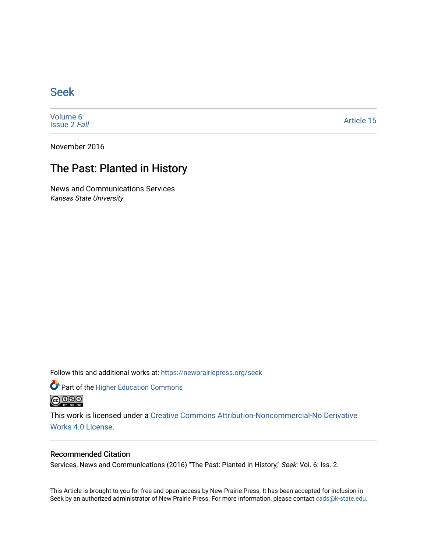## [Seek](https://newprairiepress.org/seek)

[Volume 6](https://newprairiepress.org/seek/vol6) [Issue 2](https://newprairiepress.org/seek/vol6/iss2) Fall

[Article 15](https://newprairiepress.org/seek/vol6/iss2/15) 

November 2016

## The Past: Planted in History

News and Communications Services Kansas State University

Follow this and additional works at: [https://newprairiepress.org/seek](https://newprairiepress.org/seek?utm_source=newprairiepress.org%2Fseek%2Fvol6%2Fiss2%2F15&utm_medium=PDF&utm_campaign=PDFCoverPages)

Part of the [Higher Education Commons](http://network.bepress.com/hgg/discipline/1245?utm_source=newprairiepress.org%2Fseek%2Fvol6%2Fiss2%2F15&utm_medium=PDF&utm_campaign=PDFCoverPages) 



This work is licensed under a [Creative Commons Attribution-Noncommercial-No Derivative](https://creativecommons.org/licenses/by-nc-nd/4.0/)  [Works 4.0 License](https://creativecommons.org/licenses/by-nc-nd/4.0/).

## Recommended Citation

Services, News and Communications (2016) "The Past: Planted in History," Seek: Vol. 6: Iss. 2.

This Article is brought to you for free and open access by New Prairie Press. It has been accepted for inclusion in Seek by an authorized administrator of New Prairie Press. For more information, please contact [cads@k-state.edu](mailto:cads@k-state.edu).